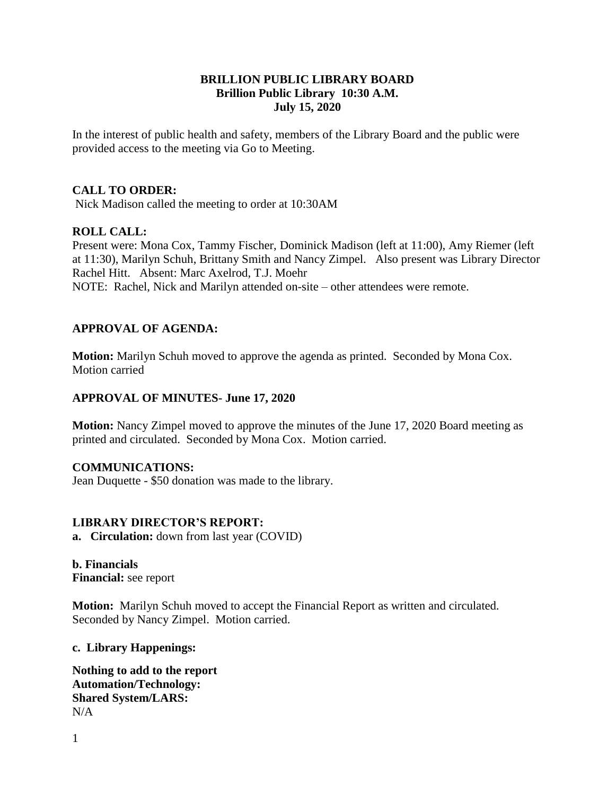# **BRILLION PUBLIC LIBRARY BOARD Brillion Public Library 10:30 A.M. July 15, 2020**

In the interest of public health and safety, members of the Library Board and the public were provided access to the meeting via Go to Meeting.

## **CALL TO ORDER:**

Nick Madison called the meeting to order at 10:30AM

### **ROLL CALL:**

Present were: Mona Cox, Tammy Fischer, Dominick Madison (left at 11:00), Amy Riemer (left at 11:30), Marilyn Schuh, Brittany Smith and Nancy Zimpel. Also present was Library Director Rachel Hitt. Absent: Marc Axelrod, T.J. Moehr NOTE: Rachel, Nick and Marilyn attended on-site – other attendees were remote.

# **APPROVAL OF AGENDA:**

**Motion:** Marilyn Schuh moved to approve the agenda as printed. Seconded by Mona Cox. Motion carried

#### **APPROVAL OF MINUTES- June 17, 2020**

**Motion:** Nancy Zimpel moved to approve the minutes of the June 17, 2020 Board meeting as printed and circulated. Seconded by Mona Cox. Motion carried.

#### **COMMUNICATIONS:**

Jean Duquette - \$50 donation was made to the library.

#### **LIBRARY DIRECTOR'S REPORT:**

**a. Circulation:** down from last year (COVID)

**b. Financials**

**Financial:** see report

**Motion:** Marilyn Schuh moved to accept the Financial Report as written and circulated. Seconded by Nancy Zimpel. Motion carried.

**c. Library Happenings:**

**Nothing to add to the report Automation/Technology: Shared System/LARS:**  N/A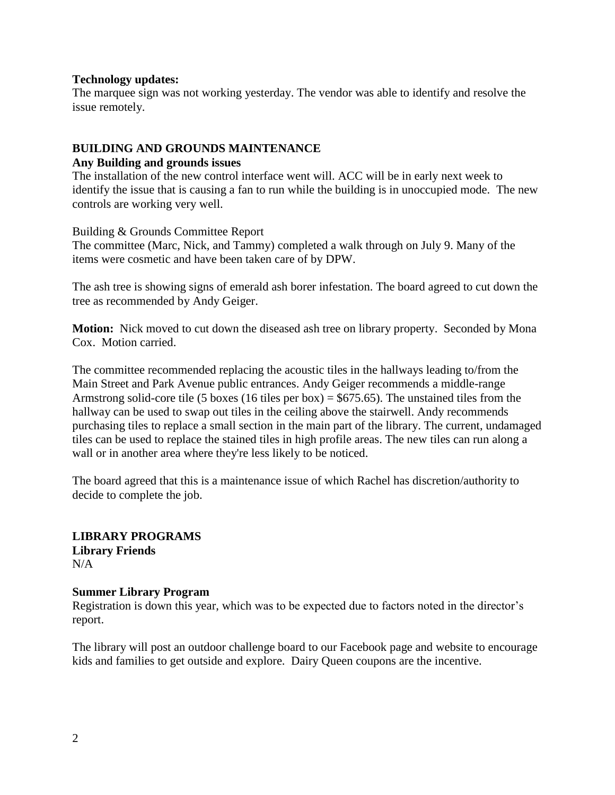#### **Technology updates:**

The marquee sign was not working yesterday. The vendor was able to identify and resolve the issue remotely.

# **BUILDING AND GROUNDS MAINTENANCE**

# **Any Building and grounds issues**

The installation of the new control interface went will. ACC will be in early next week to identify the issue that is causing a fan to run while the building is in unoccupied mode. The new controls are working very well.

Building & Grounds Committee Report

The committee (Marc, Nick, and Tammy) completed a walk through on July 9. Many of the items were cosmetic and have been taken care of by DPW.

The ash tree is showing signs of emerald ash borer infestation. The board agreed to cut down the tree as recommended by Andy Geiger.

**Motion:** Nick moved to cut down the diseased ash tree on library property. Seconded by Mona Cox. Motion carried.

The committee recommended replacing the acoustic tiles in the hallways leading to/from the Main Street and Park Avenue public entrances. Andy Geiger recommends a middle-range Armstrong solid-core tile (5 boxes (16 tiles per box) =  $$675.65$ ). The unstained tiles from the hallway can be used to swap out tiles in the ceiling above the stairwell. Andy recommends purchasing tiles to replace a small section in the main part of the library. The current, undamaged tiles can be used to replace the stained tiles in high profile areas. The new tiles can run along a wall or in another area where they're less likely to be noticed.

The board agreed that this is a maintenance issue of which Rachel has discretion/authority to decide to complete the job.

## **LIBRARY PROGRAMS Library Friends**  $N/A$

# **Summer Library Program**

Registration is down this year, which was to be expected due to factors noted in the director's report.

The library will post an outdoor challenge board to our Facebook page and website to encourage kids and families to get outside and explore. Dairy Queen coupons are the incentive.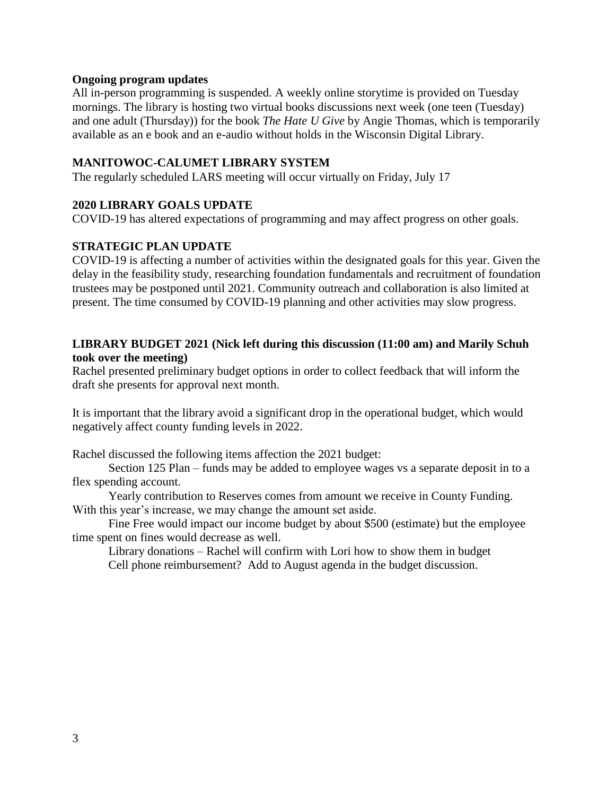### **Ongoing program updates**

All in-person programming is suspended. A weekly online storytime is provided on Tuesday mornings. The library is hosting two virtual books discussions next week (one teen (Tuesday) and one adult (Thursday)) for the book *The Hate U Give* by Angie Thomas, which is temporarily available as an e book and an e-audio without holds in the Wisconsin Digital Library.

# **MANITOWOC-CALUMET LIBRARY SYSTEM**

The regularly scheduled LARS meeting will occur virtually on Friday, July 17

# **2020 LIBRARY GOALS UPDATE**

COVID-19 has altered expectations of programming and may affect progress on other goals.

# **STRATEGIC PLAN UPDATE**

COVID-19 is affecting a number of activities within the designated goals for this year. Given the delay in the feasibility study, researching foundation fundamentals and recruitment of foundation trustees may be postponed until 2021. Community outreach and collaboration is also limited at present. The time consumed by COVID-19 planning and other activities may slow progress.

# **LIBRARY BUDGET 2021 (Nick left during this discussion (11:00 am) and Marily Schuh took over the meeting)**

Rachel presented preliminary budget options in order to collect feedback that will inform the draft she presents for approval next month.

It is important that the library avoid a significant drop in the operational budget, which would negatively affect county funding levels in 2022.

Rachel discussed the following items affection the 2021 budget:

Section 125 Plan – funds may be added to employee wages vs a separate deposit in to a flex spending account.

Yearly contribution to Reserves comes from amount we receive in County Funding. With this year's increase, we may change the amount set aside.

Fine Free would impact our income budget by about \$500 (estimate) but the employee time spent on fines would decrease as well.

Library donations – Rachel will confirm with Lori how to show them in budget Cell phone reimbursement? Add to August agenda in the budget discussion.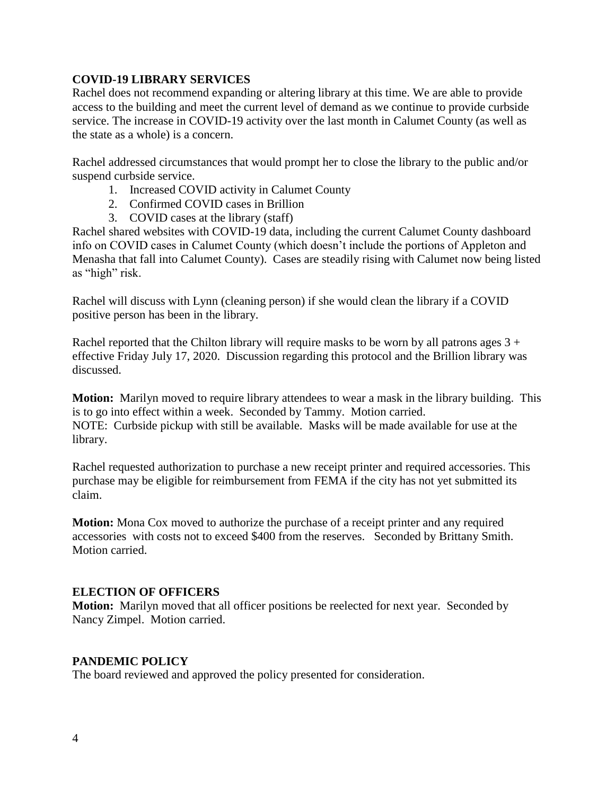# **COVID-19 LIBRARY SERVICES**

Rachel does not recommend expanding or altering library at this time. We are able to provide access to the building and meet the current level of demand as we continue to provide curbside service. The increase in COVID-19 activity over the last month in Calumet County (as well as the state as a whole) is a concern.

Rachel addressed circumstances that would prompt her to close the library to the public and/or suspend curbside service.

- 1. Increased COVID activity in Calumet County
- 2. Confirmed COVID cases in Brillion
- 3. COVID cases at the library (staff)

Rachel shared websites with COVID-19 data, including the current Calumet County dashboard info on COVID cases in Calumet County (which doesn't include the portions of Appleton and Menasha that fall into Calumet County). Cases are steadily rising with Calumet now being listed as "high" risk.

Rachel will discuss with Lynn (cleaning person) if she would clean the library if a COVID positive person has been in the library.

Rachel reported that the Chilton library will require masks to be worn by all patrons ages  $3 +$ effective Friday July 17, 2020. Discussion regarding this protocol and the Brillion library was discussed.

**Motion:** Marilyn moved to require library attendees to wear a mask in the library building. This is to go into effect within a week. Seconded by Tammy. Motion carried. NOTE: Curbside pickup with still be available. Masks will be made available for use at the library.

Rachel requested authorization to purchase a new receipt printer and required accessories. This purchase may be eligible for reimbursement from FEMA if the city has not yet submitted its claim.

**Motion:** Mona Cox moved to authorize the purchase of a receipt printer and any required accessories with costs not to exceed \$400 from the reserves. Seconded by Brittany Smith. Motion carried.

# **ELECTION OF OFFICERS**

**Motion:** Marilyn moved that all officer positions be reelected for next year. Seconded by Nancy Zimpel. Motion carried.

#### **PANDEMIC POLICY**

The board reviewed and approved the policy presented for consideration.